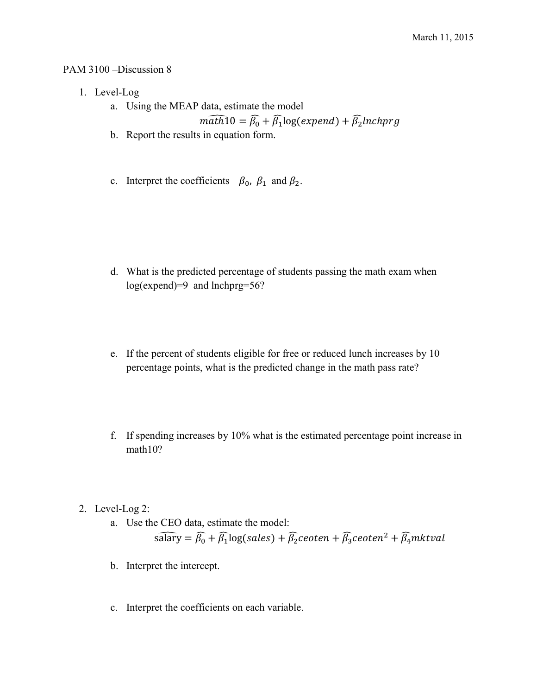## PAM 3100 –Discussion 8

- 1. Level-Log
	- a. Using the MEAP data, estimate the model  $m\widehat{ath10} = \widehat{\beta_0} + \widehat{\beta_1}\text{log}(\textit{expand}) + \widehat{\beta_2}\textit{lnchprg}$
	- b. Report the results in equation form.
	- c. Interpret the coefficients  $\beta_0$ ,  $\beta_1$  and  $\beta_2$ .

- d. What is the predicted percentage of students passing the math exam when log(expend)=9 and lnchprg=56?
- e. If the percent of students eligible for free or reduced lunch increases by 10 percentage points, what is the predicted change in the math pass rate?
- f. If spending increases by 10% what is the estimated percentage point increase in math10?

2. Level-Log 2:

- a. Use the CEO data, estimate the model:  $s\widehat{\text{aary}} = \widehat{\beta_0} + \widehat{\beta_1} \text{log}(sales) + \widehat{\beta_2} \text{ceoten} + \widehat{\beta_3} \text{ceoten}^2 + \widehat{\beta_4} \text{mktval}$
- b. Interpret the intercept.
- c. Interpret the coefficients on each variable.